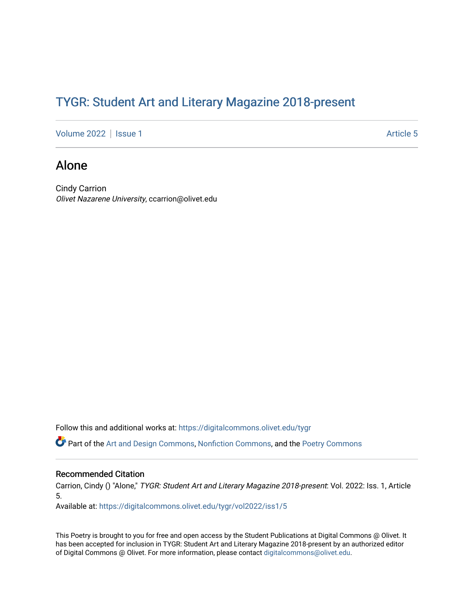## TYGR: Student Art and Literary Magazine 2018-present

[Volume 2022](https://digitalcommons.olivet.edu/tygr/vol2022) | [Issue 1](https://digitalcommons.olivet.edu/tygr/vol2022/iss1) Article 5

## Alone

Cindy Carrion Olivet Nazarene University, ccarrion@olivet.edu

Follow this and additional works at: [https://digitalcommons.olivet.edu/tygr](https://digitalcommons.olivet.edu/tygr?utm_source=digitalcommons.olivet.edu%2Ftygr%2Fvol2022%2Fiss1%2F5&utm_medium=PDF&utm_campaign=PDFCoverPages)

Part of the [Art and Design Commons](http://network.bepress.com/hgg/discipline/1049?utm_source=digitalcommons.olivet.edu%2Ftygr%2Fvol2022%2Fiss1%2F5&utm_medium=PDF&utm_campaign=PDFCoverPages), [Nonfiction Commons](http://network.bepress.com/hgg/discipline/1152?utm_source=digitalcommons.olivet.edu%2Ftygr%2Fvol2022%2Fiss1%2F5&utm_medium=PDF&utm_campaign=PDFCoverPages), and the [Poetry Commons](http://network.bepress.com/hgg/discipline/1153?utm_source=digitalcommons.olivet.edu%2Ftygr%2Fvol2022%2Fiss1%2F5&utm_medium=PDF&utm_campaign=PDFCoverPages) 

## Recommended Citation

Carrion, Cindy () "Alone," TYGR: Student Art and Literary Magazine 2018-present: Vol. 2022: Iss. 1, Article 5.

Available at: [https://digitalcommons.olivet.edu/tygr/vol2022/iss1/5](https://digitalcommons.olivet.edu/tygr/vol2022/iss1/5?utm_source=digitalcommons.olivet.edu%2Ftygr%2Fvol2022%2Fiss1%2F5&utm_medium=PDF&utm_campaign=PDFCoverPages) 

This Poetry is brought to you for free and open access by the Student Publications at Digital Commons @ Olivet. It has been accepted for inclusion in TYGR: Student Art and Literary Magazine 2018-present by an authorized editor of Digital Commons @ Olivet. For more information, please contact [digitalcommons@olivet.edu.](mailto:digitalcommons@olivet.edu)